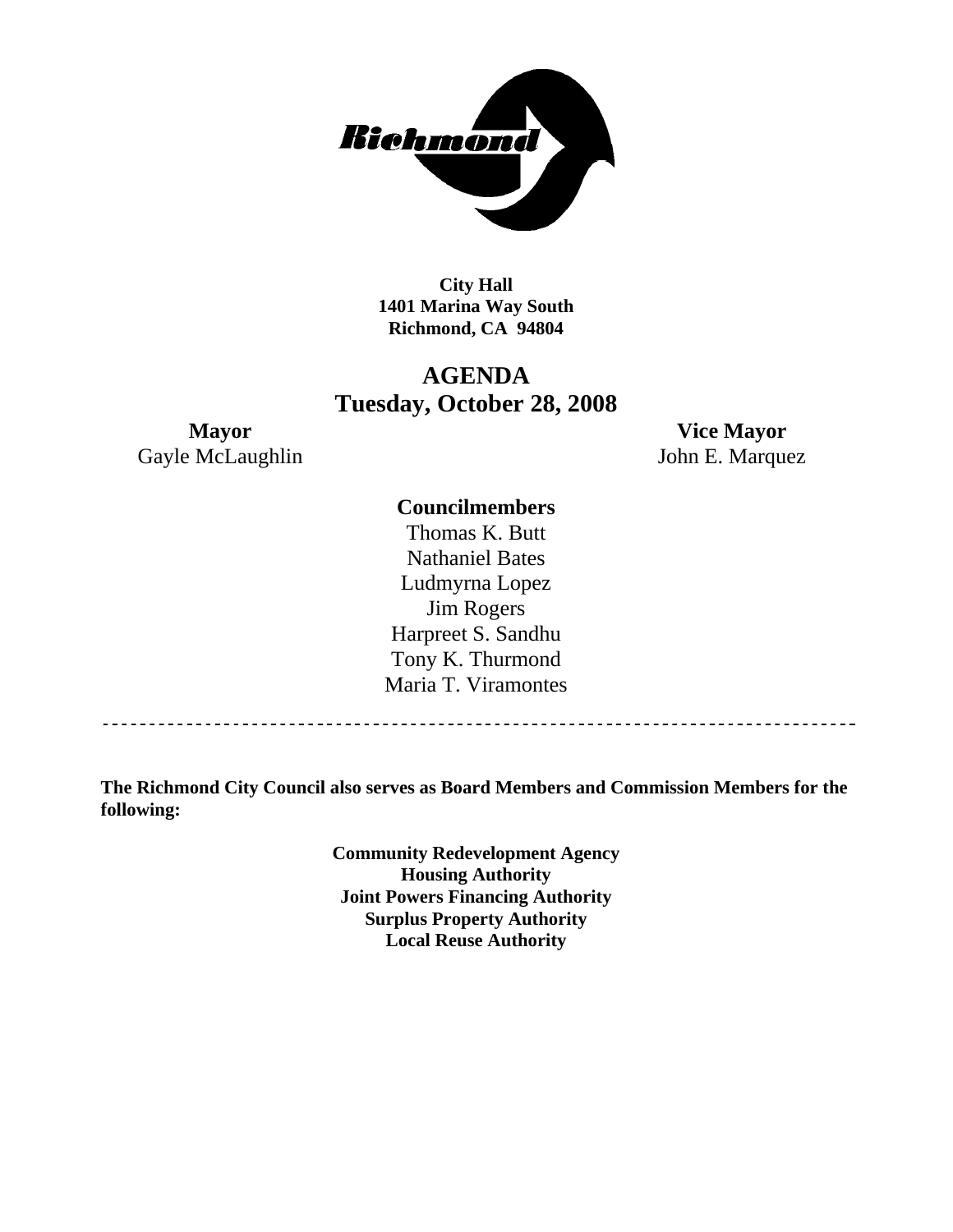

**City Hall 1401 Marina Way South Richmond, CA 94804** 

# **AGENDA Tuesday, October 28, 2008**

Gayle McLaughlin John E. Marquez

**Mayor Vice Mayor** 

# **Councilmembers**

Thomas K. Butt Nathaniel Bates Ludmyrna Lopez Jim Rogers Harpreet S. Sandhu Tony K. Thurmond Maria T. Viramontes

**The Richmond City Council also serves as Board Members and Commission Members for the following:** 

> **Community Redevelopment Agency Housing Authority Joint Powers Financing Authority Surplus Property Authority Local Reuse Authority**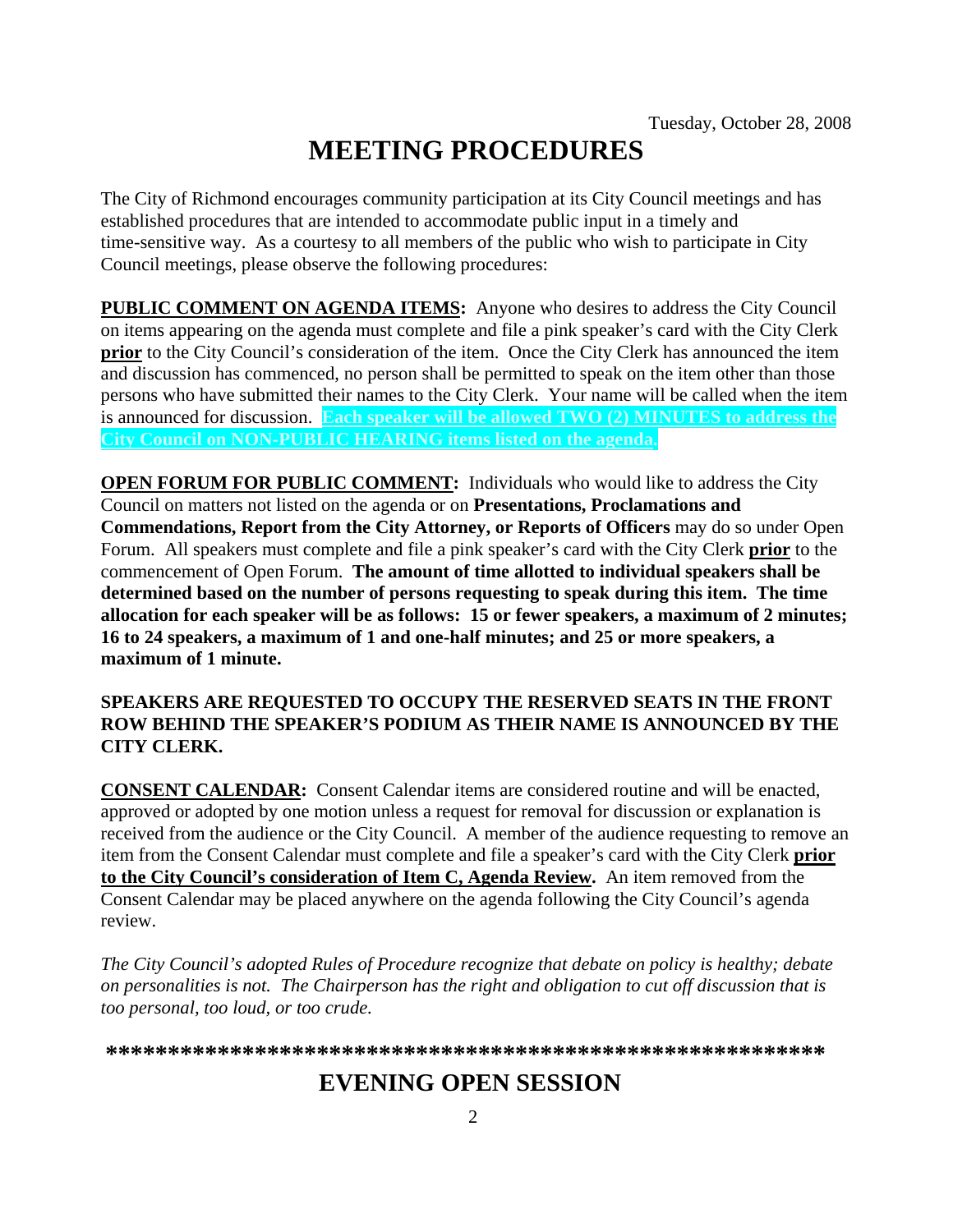# **MEETING PROCEDURES**

The City of Richmond encourages community participation at its City Council meetings and has established procedures that are intended to accommodate public input in a timely and time-sensitive way. As a courtesy to all members of the public who wish to participate in City Council meetings, please observe the following procedures:

**PUBLIC COMMENT ON AGENDA ITEMS:** Anyone who desires to address the City Council on items appearing on the agenda must complete and file a pink speaker's card with the City Clerk **prior** to the City Council's consideration of the item. Once the City Clerk has announced the item and discussion has commenced, no person shall be permitted to speak on the item other than those persons who have submitted their names to the City Clerk. Your name will be called when the item is announced for discussion. **Each speaker will be allowed TWO (2) MINUTES to address the City Council on NON-PUBLIC HEARING items listed on the agenda.** 

**OPEN FORUM FOR PUBLIC COMMENT:** Individuals who would like to address the City Council on matters not listed on the agenda or on **Presentations, Proclamations and Commendations, Report from the City Attorney, or Reports of Officers** may do so under Open Forum. All speakers must complete and file a pink speaker's card with the City Clerk **prior** to the commencement of Open Forum. **The amount of time allotted to individual speakers shall be determined based on the number of persons requesting to speak during this item. The time allocation for each speaker will be as follows: 15 or fewer speakers, a maximum of 2 minutes; 16 to 24 speakers, a maximum of 1 and one-half minutes; and 25 or more speakers, a maximum of 1 minute.** 

### **SPEAKERS ARE REQUESTED TO OCCUPY THE RESERVED SEATS IN THE FRONT ROW BEHIND THE SPEAKER'S PODIUM AS THEIR NAME IS ANNOUNCED BY THE CITY CLERK.**

**CONSENT CALENDAR:** Consent Calendar items are considered routine and will be enacted, approved or adopted by one motion unless a request for removal for discussion or explanation is received from the audience or the City Council. A member of the audience requesting to remove an item from the Consent Calendar must complete and file a speaker's card with the City Clerk **prior to the City Council's consideration of Item C, Agenda Review.** An item removed from the Consent Calendar may be placed anywhere on the agenda following the City Council's agenda review.

*The City Council's adopted Rules of Procedure recognize that debate on policy is healthy; debate on personalities is not. The Chairperson has the right and obligation to cut off discussion that is too personal, too loud, or too crude.* 

**\*\*\*\*\*\*\*\*\*\*\*\*\*\*\*\*\*\*\*\*\*\*\*\*\*\*\*\*\*\*\*\*\*\*\*\*\*\*\*\*\*\*\*\*\*\*\*\*\*\*\*\*\*\*\*\*\*\***

# **EVENING OPEN SESSION**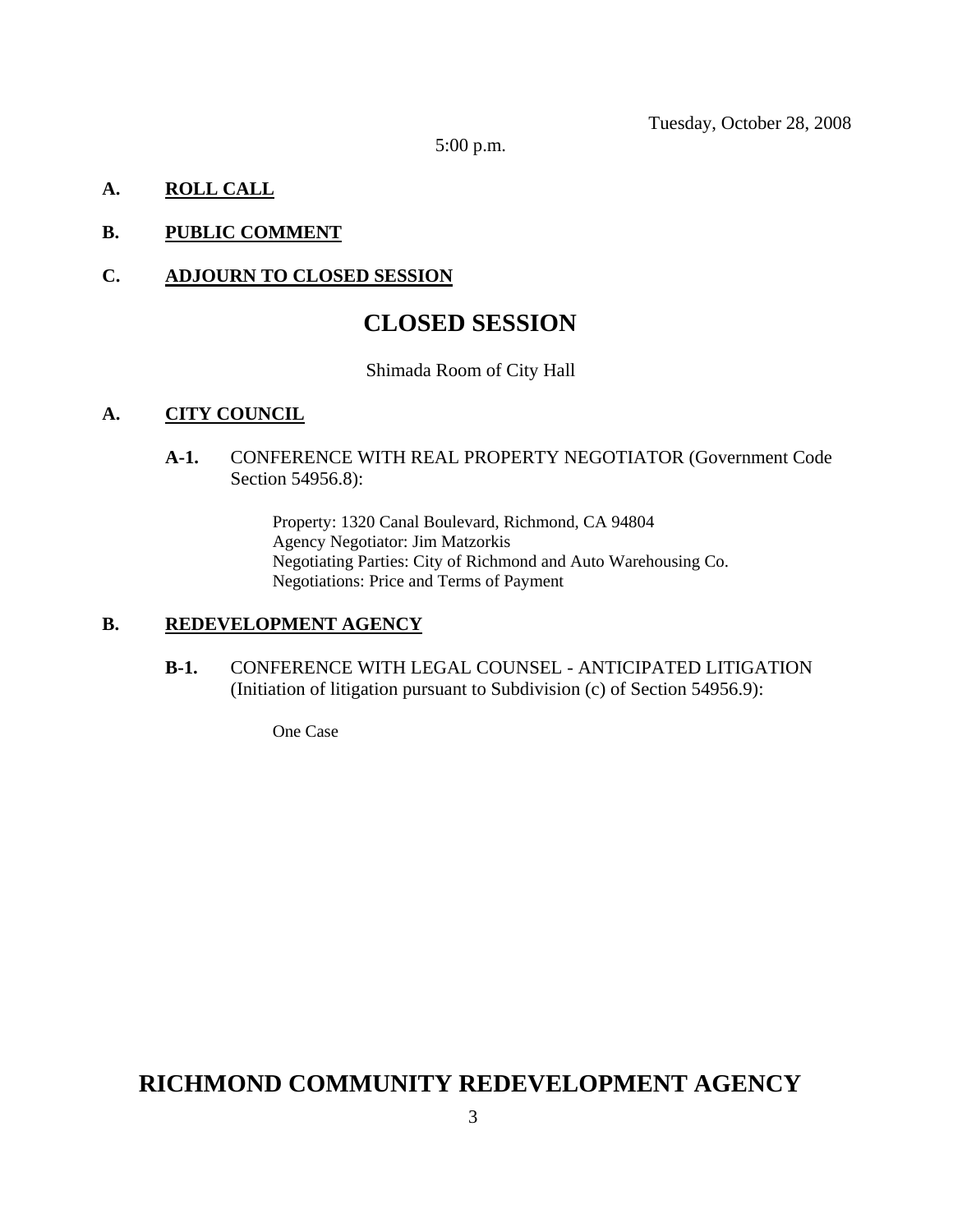Tuesday, October 28, 2008

5:00 p.m.

# **A. ROLL CALL**

# **B. PUBLIC COMMENT**

### **C. ADJOURN TO CLOSED SESSION**

# **CLOSED SESSION**

#### Shimada Room of City Hall

### **A. CITY COUNCIL**

**A-1.** CONFERENCE WITH REAL PROPERTY NEGOTIATOR (Government Code Section 54956.8):

> Property: 1320 Canal Boulevard, Richmond, CA 94804 Agency Negotiator: Jim Matzorkis Negotiating Parties: City of Richmond and Auto Warehousing Co. Negotiations: Price and Terms of Payment

#### **B. REDEVELOPMENT AGENCY**

**B-1.** CONFERENCE WITH LEGAL COUNSEL - ANTICIPATED LITIGATION (Initiation of litigation pursuant to Subdivision (c) of Section 54956.9):

One Case

# **RICHMOND COMMUNITY REDEVELOPMENT AGENCY**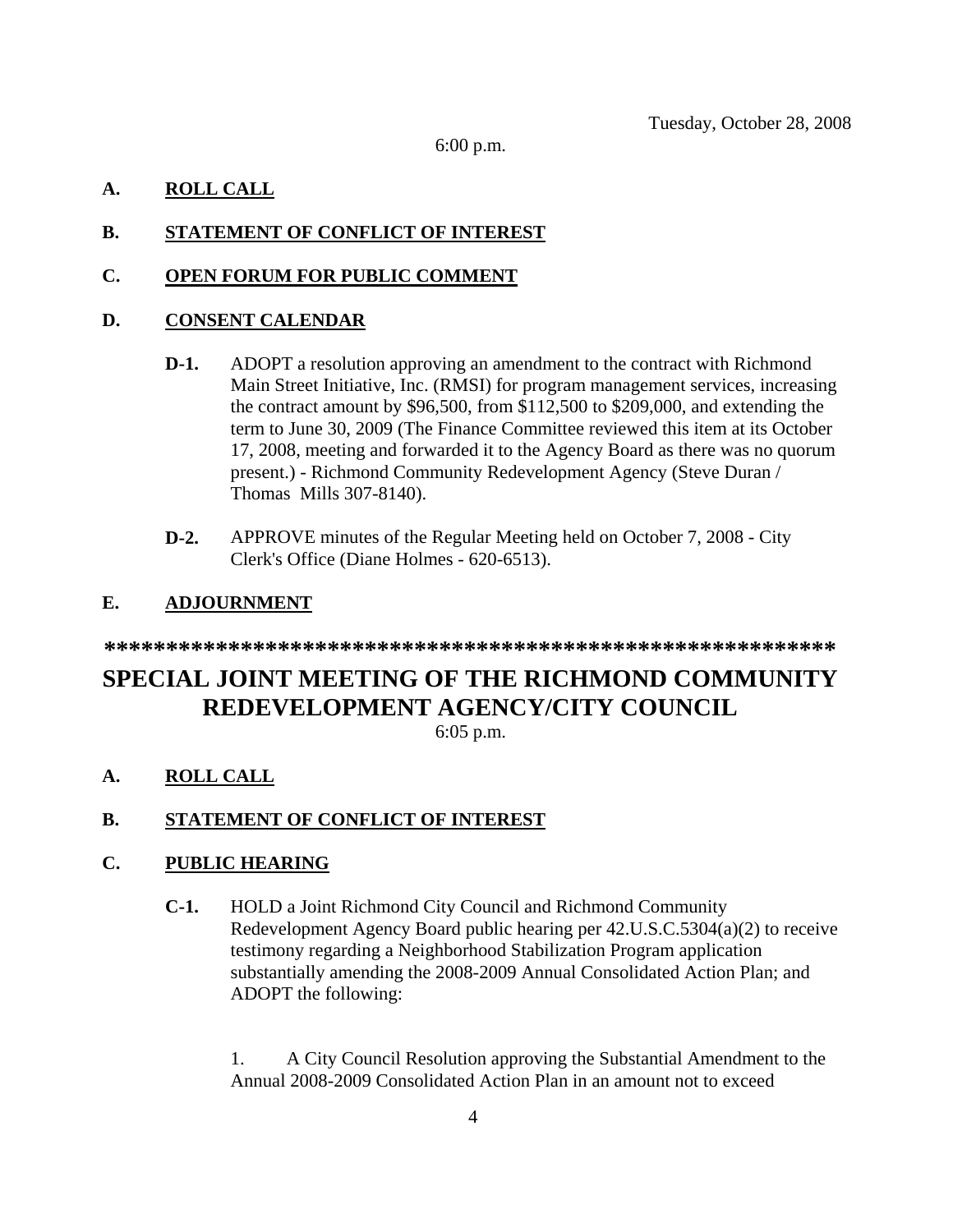6:00 p.m.

# **A. ROLL CALL**

# **B. STATEMENT OF CONFLICT OF INTEREST**

### **C. OPEN FORUM FOR PUBLIC COMMENT**

# **D. CONSENT CALENDAR**

- **D-1.** ADOPT a resolution approving an amendment to the contract with Richmond Main Street Initiative, Inc. (RMSI) for program management services, increasing the contract amount by \$96,500, from \$112,500 to \$209,000, and extending the term to June 30, 2009 (The Finance Committee reviewed this item at its October 17, 2008, meeting and forwarded it to the Agency Board as there was no quorum present.) - Richmond Community Redevelopment Agency (Steve Duran / Thomas Mills 307-8140).
- **D-2.** APPROVE minutes of the Regular Meeting held on October 7, 2008 City Clerk's Office (Diane Holmes - 620-6513).

# **E. ADJOURNMENT**

**\*\*\*\*\*\*\*\*\*\*\*\*\*\*\*\*\*\*\*\*\*\*\*\*\*\*\*\*\*\*\*\*\*\*\*\*\*\*\*\*\*\*\*\*\*\*\*\*\*\*\*\*\*\*\*\*\*\*\***

# **SPECIAL JOINT MEETING OF THE RICHMOND COMMUNITY REDEVELOPMENT AGENCY/CITY COUNCIL**

6:05 p.m.

**A. ROLL CALL**

# **B. STATEMENT OF CONFLICT OF INTEREST**

# **C. PUBLIC HEARING**

**C-1.** HOLD a Joint Richmond City Council and Richmond Community Redevelopment Agency Board public hearing per 42.U.S.C.5304(a)(2) to receive testimony regarding a Neighborhood Stabilization Program application substantially amending the 2008-2009 Annual Consolidated Action Plan; and ADOPT the following:

1. A City Council Resolution approving the Substantial Amendment to the Annual 2008-2009 Consolidated Action Plan in an amount not to exceed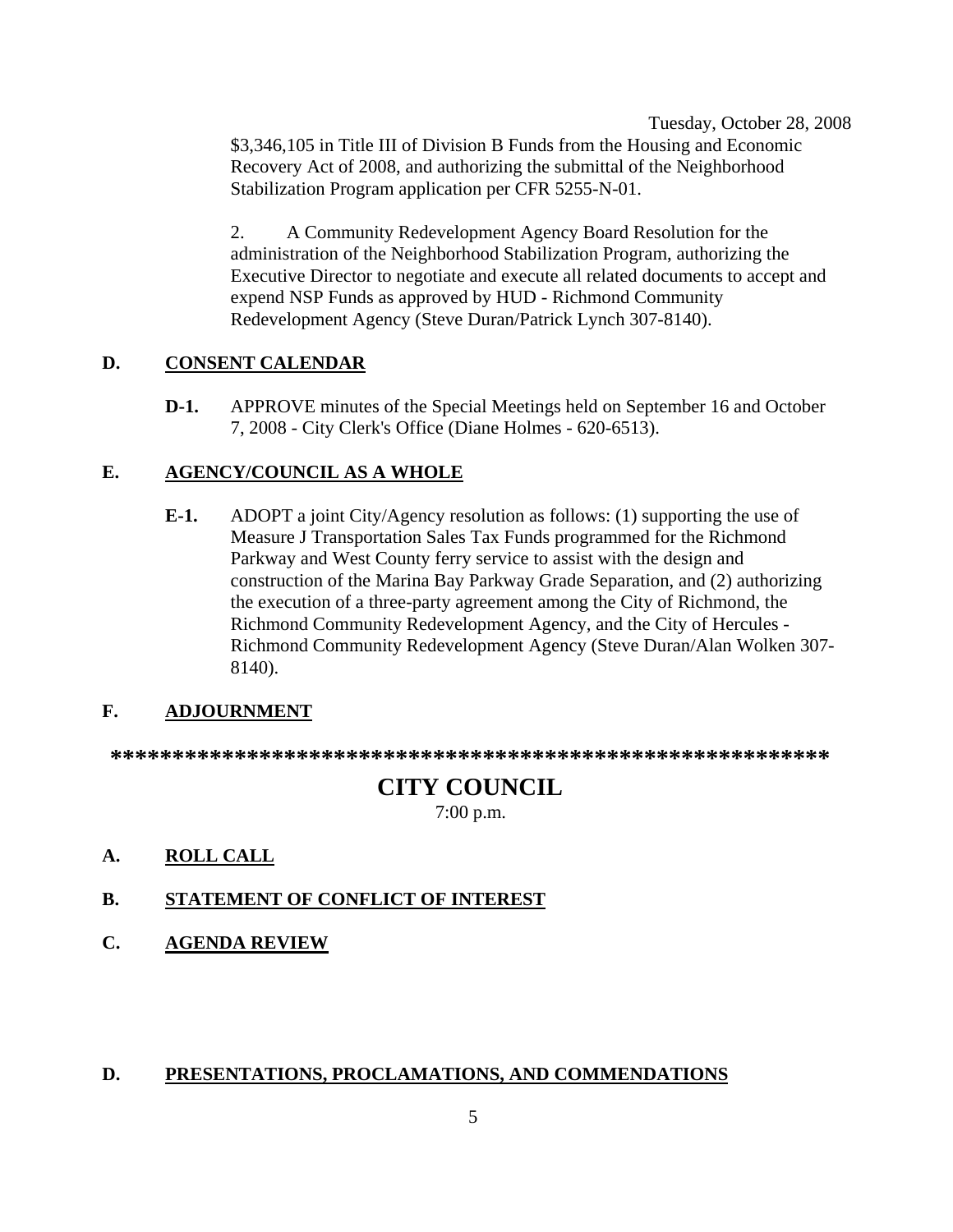Tuesday, October 28, 2008 \$3,346,105 in Title III of Division B Funds from the Housing and Economic Recovery Act of 2008, and authorizing the submittal of the Neighborhood Stabilization Program application per CFR 5255-N-01.

2. A Community Redevelopment Agency Board Resolution for the administration of the Neighborhood Stabilization Program, authorizing the Executive Director to negotiate and execute all related documents to accept and expend NSP Funds as approved by HUD - Richmond Community Redevelopment Agency (Steve Duran/Patrick Lynch 307-8140).

### **D. CONSENT CALENDAR**

**D-1.** APPROVE minutes of the Special Meetings held on September 16 and October 7, 2008 - City Clerk's Office (Diane Holmes - 620-6513).

### **E. AGENCY/COUNCIL AS A WHOLE**

**E-1.** ADOPT a joint City/Agency resolution as follows: (1) supporting the use of Measure J Transportation Sales Tax Funds programmed for the Richmond Parkway and West County ferry service to assist with the design and construction of the Marina Bay Parkway Grade Separation, and (2) authorizing the execution of a three-party agreement among the City of Richmond, the Richmond Community Redevelopment Agency, and the City of Hercules - Richmond Community Redevelopment Agency (Steve Duran/Alan Wolken 307- 8140).

# **F. ADJOURNMENT**

**\*\*\*\*\*\*\*\*\*\*\*\*\*\*\*\*\*\*\*\*\*\*\*\*\*\*\*\*\*\*\*\*\*\*\*\*\*\*\*\*\*\*\*\*\*\*\*\*\*\*\*\*\*\*\*\*\*\*** 

# **CITY COUNCIL**

7:00 p.m.

**A. ROLL CALL**

# **B. STATEMENT OF CONFLICT OF INTEREST**

**C. AGENDA REVIEW**

#### **D. PRESENTATIONS, PROCLAMATIONS, AND COMMENDATIONS**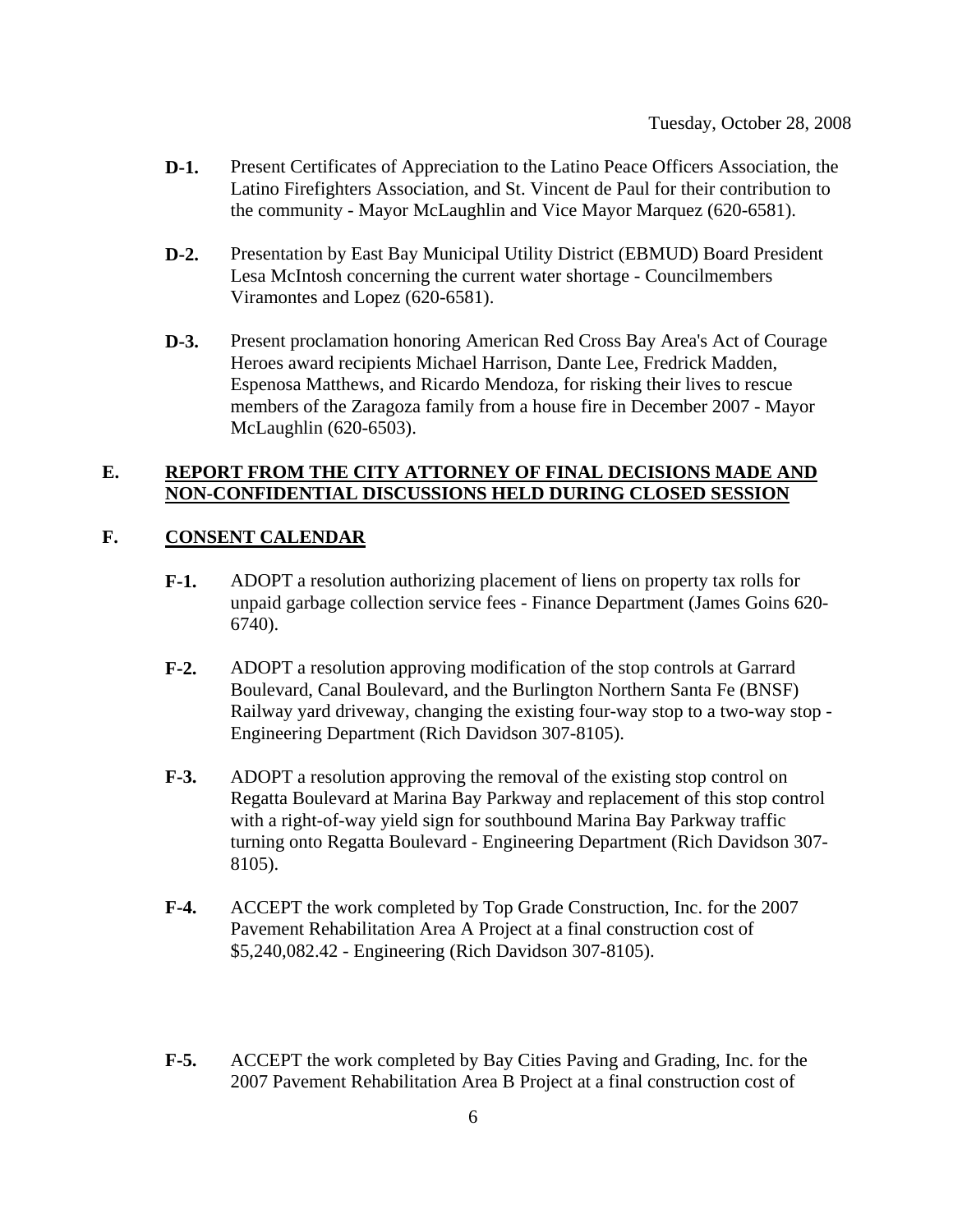- **D-1.** Present Certificates of Appreciation to the Latino Peace Officers Association, the Latino Firefighters Association, and St. Vincent de Paul for their contribution to the community - Mayor McLaughlin and Vice Mayor Marquez (620-6581).
- **D-2.** Presentation by East Bay Municipal Utility District (EBMUD) Board President Lesa McIntosh concerning the current water shortage - Councilmembers Viramontes and Lopez (620-6581).
- **D-3.** Present proclamation honoring American Red Cross Bay Area's Act of Courage Heroes award recipients Michael Harrison, Dante Lee, Fredrick Madden, Espenosa Matthews, and Ricardo Mendoza, for risking their lives to rescue members of the Zaragoza family from a house fire in December 2007 - Mayor McLaughlin (620-6503).

### **E. REPORT FROM THE CITY ATTORNEY OF FINAL DECISIONS MADE AND NON-CONFIDENTIAL DISCUSSIONS HELD DURING CLOSED SESSION**

### **F. CONSENT CALENDAR**

- **F-1.** ADOPT a resolution authorizing placement of liens on property tax rolls for unpaid garbage collection service fees - Finance Department (James Goins 620- 6740).
- **F-2.** ADOPT a resolution approving modification of the stop controls at Garrard Boulevard, Canal Boulevard, and the Burlington Northern Santa Fe (BNSF) Railway yard driveway, changing the existing four-way stop to a two-way stop - Engineering Department (Rich Davidson 307-8105).
- **F-3.** ADOPT a resolution approving the removal of the existing stop control on Regatta Boulevard at Marina Bay Parkway and replacement of this stop control with a right-of-way yield sign for southbound Marina Bay Parkway traffic turning onto Regatta Boulevard - Engineering Department (Rich Davidson 307- 8105).
- **F-4.** ACCEPT the work completed by Top Grade Construction, Inc. for the 2007 Pavement Rehabilitation Area A Project at a final construction cost of \$5,240,082.42 - Engineering (Rich Davidson 307-8105).
- **F-5.** ACCEPT the work completed by Bay Cities Paving and Grading, Inc. for the 2007 Pavement Rehabilitation Area B Project at a final construction cost of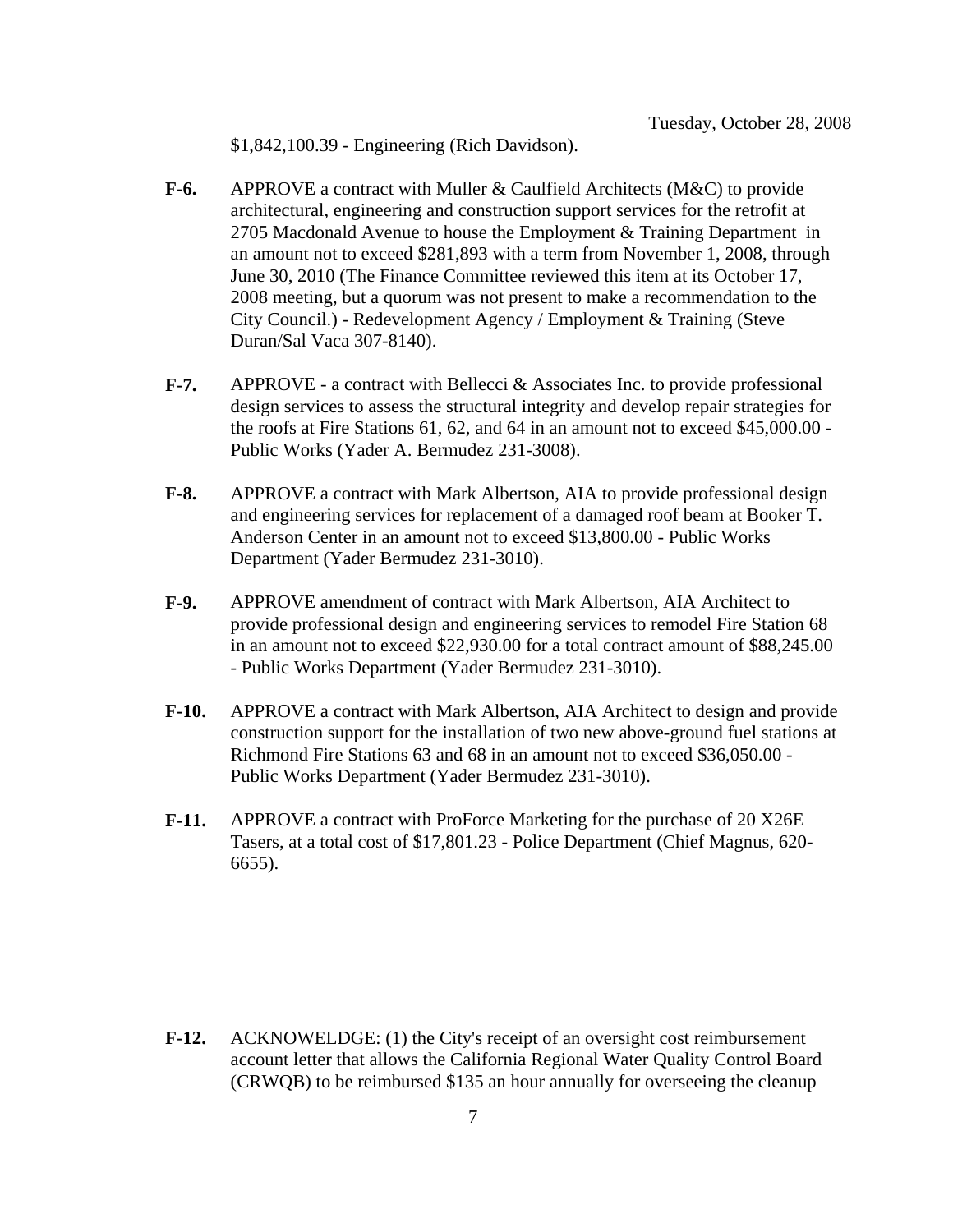\$1,842,100.39 - Engineering (Rich Davidson).

- **F-6.** APPROVE a contract with Muller & Caulfield Architects (M&C) to provide architectural, engineering and construction support services for the retrofit at 2705 Macdonald Avenue to house the Employment & Training Department in an amount not to exceed \$281,893 with a term from November 1, 2008, through June 30, 2010 (The Finance Committee reviewed this item at its October 17, 2008 meeting, but a quorum was not present to make a recommendation to the City Council.) - Redevelopment Agency / Employment & Training (Steve Duran/Sal Vaca 307-8140).
- **F-7.** APPROVE a contract with Bellecci & Associates Inc. to provide professional design services to assess the structural integrity and develop repair strategies for the roofs at Fire Stations 61, 62, and 64 in an amount not to exceed \$45,000.00 - Public Works (Yader A. Bermudez 231-3008).
- **F-8.** APPROVE a contract with Mark Albertson, AIA to provide professional design and engineering services for replacement of a damaged roof beam at Booker T. Anderson Center in an amount not to exceed \$13,800.00 - Public Works Department (Yader Bermudez 231-3010).
- **F-9.** APPROVE amendment of contract with Mark Albertson, AIA Architect to provide professional design and engineering services to remodel Fire Station 68 in an amount not to exceed \$22,930.00 for a total contract amount of \$88,245.00 - Public Works Department (Yader Bermudez 231-3010).
- **F-10.** APPROVE a contract with Mark Albertson, AIA Architect to design and provide construction support for the installation of two new above-ground fuel stations at Richmond Fire Stations 63 and 68 in an amount not to exceed \$36,050.00 - Public Works Department (Yader Bermudez 231-3010).
- **F-11.** APPROVE a contract with ProForce Marketing for the purchase of 20 X26E Tasers, at a total cost of \$17,801.23 - Police Department (Chief Magnus, 620- 6655).

**F-12.** ACKNOWELDGE: (1) the City's receipt of an oversight cost reimbursement account letter that allows the California Regional Water Quality Control Board (CRWQB) to be reimbursed \$135 an hour annually for overseeing the cleanup